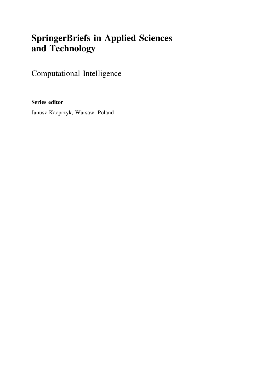## SpringerBriefs in Applied Sciences and Technology

Computational Intelligence

Series editor

Janusz Kacprzyk, Warsaw, Poland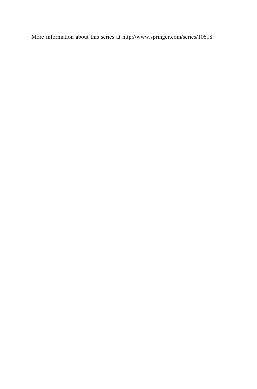More information about this series at<http://www.springer.com/series/10618>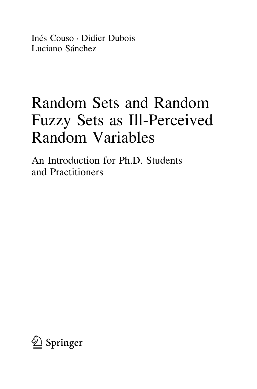Inés Couso • Didier Dubois Luciano Sánchez

## Random Sets and Random Fuzzy Sets as Ill-Perceived Random Variables

An Introduction for Ph.D. Students and Practitioners

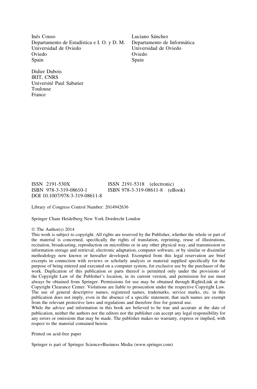Inés Couso Departamento de Estadística e I. O. y D. M. Universidad de Oviedo Oviedo Spain

Didier Dubois IRIT, CNRS Université Paul Sabatier Toulouse France

Luciano Sánchez Departamento de Informática Universidad de Oviedo Oviedo Spain

ISSN 2191-530X<br>ISBN 978-3-319-08610-1<br>ISBN 978-3-319-08611-8 (eF ISBN 978-3-319-08611-8 (eBook) DOI 10.1007/978-3-319-08611-8

Library of Congress Control Number: 2014942636

Springer Cham Heidelberg New York Dordrecht London

© The Author(s) 2014

This work is subject to copyright. All rights are reserved by the Publisher, whether the whole or part of the material is concerned, specifically the rights of translation, reprinting, reuse of illustrations, recitation, broadcasting, reproduction on microfilms or in any other physical way, and transmission or information storage and retrieval, electronic adaptation, computer software, or by similar or dissimilar methodology now known or hereafter developed. Exempted from this legal reservation are brief excerpts in connection with reviews or scholarly analysis or material supplied specifically for the purpose of being entered and executed on a computer system, for exclusive use by the purchaser of the work. Duplication of this publication or parts thereof is permitted only under the provisions of the Copyright Law of the Publisher's location, in its current version, and permission for use must always be obtained from Springer. Permissions for use may be obtained through RightsLink at the Copyright Clearance Center. Violations are liable to prosecution under the respective Copyright Law. The use of general descriptive names, registered names, trademarks, service marks, etc. in this publication does not imply, even in the absence of a specific statement, that such names are exempt from the relevant protective laws and regulations and therefore free for general use.

While the advice and information in this book are believed to be true and accurate at the date of publication, neither the authors nor the editors nor the publisher can accept any legal responsibility for any errors or omissions that may be made. The publisher makes no warranty, express or implied, with respect to the material contained herein.

Printed on acid-free paper

Springer is part of Springer Science+Business Media (www.springer.com)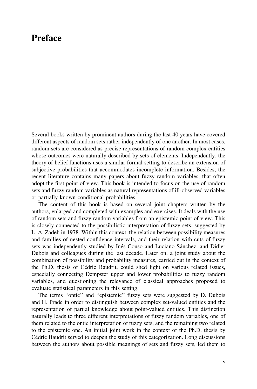## Preface

Several books written by prominent authors during the last 40 years have covered different aspects of random sets rather independently of one another. In most cases, random sets are considered as precise representations of random complex entities whose outcomes were naturally described by sets of elements. Independently, the theory of belief functions uses a similar formal setting to describe an extension of subjective probabilities that accommodates incomplete information. Besides, the recent literature contains many papers about fuzzy random variables, that often adopt the first point of view. This book is intended to focus on the use of random sets and fuzzy random variables as natural representations of ill-observed variables or partially known conditional probabilities.

The content of this book is based on several joint chapters written by the authors, enlarged and completed with examples and exercises. It deals with the use of random sets and fuzzy random variables from an epistemic point of view. This is closely connected to the possibilistic interpretation of fuzzy sets, suggested by L. A. Zadeh in 1978. Within this context, the relation between possibility measures and families of nested confidence intervals, and their relation with cuts of fuzzy sets was independently studied by Inés Couso and Luciano Sánchez, and Didier Dubois and colleagues during the last decade. Later on, a joint study about the combination of possibility and probability measures, carried out in the context of the Ph.D. thesis of Cédric Baudrit, could shed light on various related issues, especially connecting Dempster upper and lower probabilities to fuzzy random variables, and questioning the relevance of classical approaches proposed to evaluate statistical parameters in this setting.

The terms "ontic" and "epistemic" fuzzy sets were suggested by D. Dubois and H. Prade in order to distinguish between complex set-valued entities and the representation of partial knowledge about point-valued entities. This distinction naturally leads to three different interpretations of fuzzy random variables, one of them related to the ontic interpretation of fuzzy sets, and the remaining two related to the epistemic one. An initial joint work in the context of the Ph.D. thesis by Cédric Baudrit served to deepen the study of this categorization. Long discussions between the authors about possible meanings of sets and fuzzy sets, led them to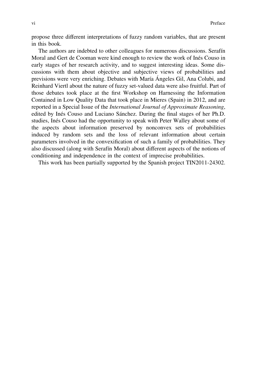propose three different interpretations of fuzzy random variables, that are present in this book.

The authors are indebted to other colleagues for numerous discussions. Serafín Moral and Gert de Cooman were kind enough to review the work of Inés Couso in early stages of her research activity, and to suggest interesting ideas. Some discussions with them about objective and subjective views of probabilities and previsions were very enriching. Debates with María Ángeles Gil, Ana Colubi, and Reinhard Viertl about the nature of fuzzy set-valued data were also fruitful. Part of those debates took place at the first Workshop on Harnessing the Information Contained in Low Quality Data that took place in Mieres (Spain) in 2012, and are reported in a Special Issue of the International Journal of Approximate Reasoning, edited by Inés Couso and Luciano Sánchez. During the final stages of her Ph.D. studies, Inés Couso had the opportunity to speak with Peter Walley about some of the aspects about information preserved by nonconvex sets of probabilities induced by random sets and the loss of relevant information about certain parameters involved in the convexification of such a family of probabilities. They also discussed (along with Serafín Moral) about different aspects of the notions of conditioning and independence in the context of imprecise probabilities.

This work has been partially supported by the Spanish project TIN2011-24302.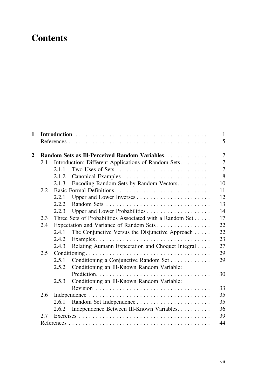## **Contents**

| $\mathbf{1}$   |     | $\mathbf{1}$ |                                                          |                |  |  |
|----------------|-----|--------------|----------------------------------------------------------|----------------|--|--|
|                |     |              |                                                          | 5              |  |  |
| $\overline{2}$ |     |              | <b>Random Sets as Ill-Perceived Random Variables</b>     | $\overline{7}$ |  |  |
|                | 2.1 |              | Introduction: Different Applications of Random Sets      | $\overline{7}$ |  |  |
|                |     | 2.1.1        |                                                          | $\overline{7}$ |  |  |
|                |     | 2.1.2        |                                                          | 8              |  |  |
|                |     | 2.1.3        | Encoding Random Sets by Random Vectors.                  | 10             |  |  |
|                | 2.2 |              | Basic Formal Definitions                                 | 11             |  |  |
|                |     | 2.2.1        |                                                          | 12             |  |  |
|                |     | 2.2.2.       |                                                          | 13             |  |  |
|                |     | 2.2.3        |                                                          | 14             |  |  |
|                | 2.3 |              | Three Sets of Probabilities Associated with a Random Set | 17             |  |  |
|                | 2.4 |              | Expectation and Variance of Random Sets                  | 22             |  |  |
|                |     | 2.4.1        | The Conjunctive Versus the Disjunctive Approach          | 22             |  |  |
|                |     | 2.4.2        |                                                          | 23             |  |  |
|                |     | 2.4.3        | Relating Aumann Expectation and Choquet Integral         | 27             |  |  |
|                | 2.5 |              |                                                          | 29             |  |  |
|                |     | 2.5.1        | Conditioning a Conjunctive Random Set                    | 29             |  |  |
|                |     | 2.5.2        | Conditioning an Ill-Known Random Variable:               |                |  |  |
|                |     |              |                                                          | 30             |  |  |
|                |     | 2.5.3        | Conditioning an Ill-Known Random Variable:               |                |  |  |
|                |     |              |                                                          | 33             |  |  |
|                | 2.6 |              |                                                          | 35             |  |  |
|                |     | 2.6.1        |                                                          | 35             |  |  |
|                |     | 2.6.2        | Independence Between Ill-Known Variables.                | 36             |  |  |
|                | 2.7 |              |                                                          | 39             |  |  |
|                |     |              |                                                          | 44             |  |  |